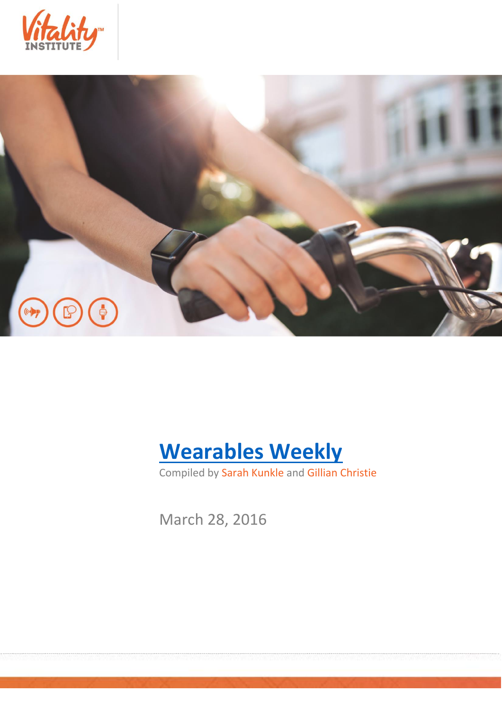





Compiled by Sarah Kunkle and Gillian Christie

March 28, 2016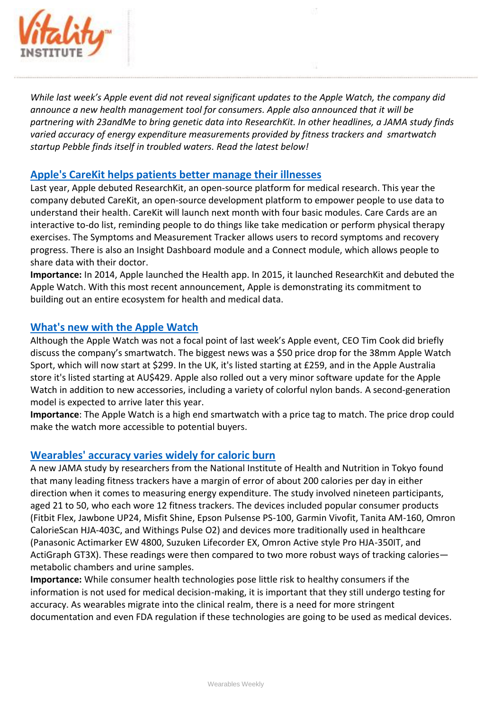

*While last week's Apple event did not reveal significant updates to the Apple Watch, the company did announce a new health management tool for consumers. Apple also announced that it will be partnering with 23andMe to bring genetic data into ResearchKit. In other headlines, a JAMA study finds varied accuracy of energy expenditure measurements provided by fitness trackers and smartwatch startup Pebble finds itself in troubled waters. Read the latest below!*

## **[Apple's CareKit helps patients better manage their illnesses](http://www.engadget.com/2016/03/21/apples-carekit-will-help-patients-better-manage-their-illnesses/)**

Last year, Apple debuted ResearchKit, an open-source platform for medical research. This year the company debuted CareKit, an open-source development platform to empower people to use data to understand their health. CareKit will launch next month with four basic modules. Care Cards are an interactive to-do list, reminding people to do things like take medication or perform physical therapy exercises. The Symptoms and Measurement Tracker allows users to record symptoms and recovery progress. There is also an Insight Dashboard module and a Connect module, which allows people to share data with their doctor.

**Importance:** In 2014, Apple launched the Health app. In 2015, it launched ResearchKit and debuted the Apple Watch. With this most recent announcement, Apple is demonstrating its commitment to building out an entire ecosystem for health and medical data.

## **[What's new with the Apple Watch](http://www.cnet.com/news/whats-new-with-the-apple-watch/)**

Although the Apple Watch was not a focal point of last week's Apple event, CEO Tim Cook did briefly discuss the company's smartwatch. The biggest news was a \$50 price drop for the 38mm Apple Watch Sport, which will now start at \$299. In the UK, it's listed starting at £259, and in the Apple Australia store it's listed starting at AU\$429. Apple also rolled out a very minor software update for the Apple Watch in addition to new accessories, including a variety of colorful nylon bands. A second-generation model is expected to arrive later this year.

**Importance**: The Apple Watch is a high end smartwatch with a price tag to match. The price drop could make the watch more accessible to potential buyers.

## **[Wearables' accuracy varies widely for caloric burn](http://mobihealthnews.com/content/study-wearables-accuracy-varies-widely-caloric-burn)**

A new JAMA study by researchers from the National Institute of Health and Nutrition in Tokyo found that many leading fitness trackers have a margin of error of about 200 calories per day in either direction when it comes to measuring energy expenditure. The study involved nineteen participants, aged 21 to 50, who each wore 12 fitness trackers. The devices included popular consumer products (Fitbit Flex, Jawbone UP24, Misfit Shine, Epson Pulsense PS-100, Garmin Vivofit, Tanita AM-160, Omron CalorieScan HJA-403C, and Withings Pulse O2) and devices more traditionally used in healthcare (Panasonic Actimarker EW 4800, Suzuken Lifecorder EX, Omron Active style Pro HJA-350IT, and ActiGraph GT3X). These readings were then compared to two more robust ways of tracking calories metabolic chambers and urine samples.

**Importance:** While consumer health technologies pose little risk to healthy consumers if the information is not used for medical decision-making, it is important that they still undergo testing for accuracy. As wearables migrate into the clinical realm, there is a need for more stringent documentation and even FDA regulation if these technologies are going to be used as medical devices.